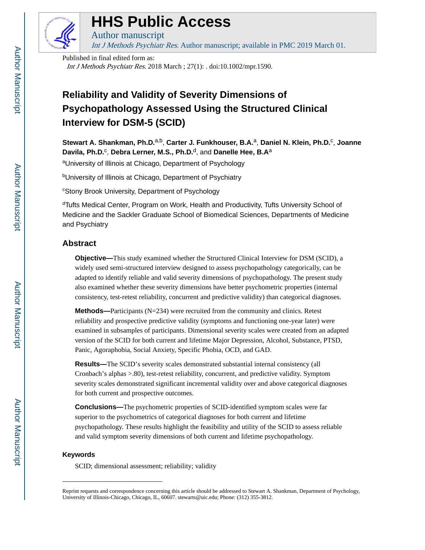

# **HHS Public Access**

Author manuscript

Int J Methods Psychiatr Res. Author manuscript; available in PMC 2019 March 01.

Published in final edited form as: Int J Methods Psychiatr Res. 2018 March ; 27(1): . doi:10.1002/mpr.1590.

## **Reliability and Validity of Severity Dimensions of Psychopathology Assessed Using the Structured Clinical Interview for DSM-5 (SCID)**

**Stewart A. Shankman, Ph.D.**a,b, **Carter J. Funkhouser, B.A.**a, **Daniel N. Klein, Ph.D.**<sup>c</sup> , **Joanne Davila, Ph.D.**<sup>c</sup> , **Debra Lerner, M.S., Ph.D.**d, and **Danelle Hee, B.A**<sup>a</sup>

aUniversity of Illinois at Chicago, Department of Psychology

<sup>b</sup>University of Illinois at Chicago, Department of Psychiatry

<sup>c</sup>Stony Brook University, Department of Psychology

<sup>d</sup>Tufts Medical Center, Program on Work, Health and Productivity, Tufts University School of Medicine and the Sackler Graduate School of Biomedical Sciences, Departments of Medicine and Psychiatry

## **Abstract**

**Objective—**This study examined whether the Structured Clinical Interview for DSM (SCID), a widely used semi-structured interview designed to assess psychopathology categorically, can be adapted to identify reliable and valid severity dimensions of psychopathology. The present study also examined whether these severity dimensions have better psychometric properties (internal consistency, test-retest reliability, concurrent and predictive validity) than categorical diagnoses.

**Methods—**Participants (N=234) were recruited from the community and clinics. Retest reliability and prospective predictive validity (symptoms and functioning one-year later) were examined in subsamples of participants. Dimensional severity scales were created from an adapted version of the SCID for both current and lifetime Major Depression, Alcohol, Substance, PTSD, Panic, Agoraphobia, Social Anxiety, Specific Phobia, OCD, and GAD.

**Results—**The SCID's severity scales demonstrated substantial internal consistency (all Cronbach's alphas >.80), test-retest reliability, concurrent, and predictive validity. Symptom severity scales demonstrated significant incremental validity over and above categorical diagnoses for both current and prospective outcomes.

**Conclusions—**The psychometric properties of SCID-identified symptom scales were far superior to the psychometrics of categorical diagnoses for both current and lifetime psychopathology. These results highlight the feasibility and utility of the SCID to assess reliable and valid symptom severity dimensions of both current and lifetime psychopathology.

## **Keywords**

SCID; dimensional assessment; reliability; validity

Reprint requests and correspondence concerning this article should be addressed to Stewart A. Shankman, Department of Psychology, University of Illinois-Chicago, Chicago, IL, 60607. stewarts@uic.edu; Phone: (312) 355-3812.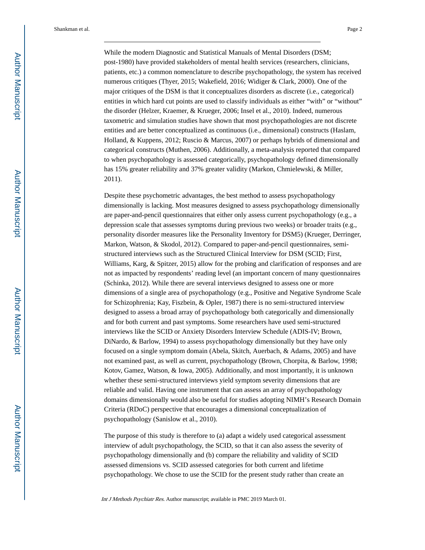While the modern Diagnostic and Statistical Manuals of Mental Disorders (DSM; post-1980) have provided stakeholders of mental health services (researchers, clinicians, patients, etc.) a common nomenclature to describe psychopathology, the system has received numerous critiques (Thyer, 2015; Wakefield, 2016; Widiger & Clark, 2000). One of the major critiques of the DSM is that it conceptualizes disorders as discrete (i.e., categorical) entities in which hard cut points are used to classify individuals as either "with" or "without" the disorder (Helzer, Kraemer, & Krueger, 2006; Insel et al., 2010). Indeed, numerous taxometric and simulation studies have shown that most psychopathologies are not discrete entities and are better conceptualized as continuous (i.e., dimensional) constructs (Haslam, Holland, & Kuppens, 2012; Ruscio & Marcus, 2007) or perhaps hybrids of dimensional and categorical constructs (Muthen, 2006). Additionally, a meta-analysis reported that compared to when psychopathology is assessed categorically, psychopathology defined dimensionally has 15% greater reliability and 37% greater validity (Markon, Chmielewski, & Miller, 2011).

Despite these psychometric advantages, the best method to assess psychopathology dimensionally is lacking. Most measures designed to assess psychopathology dimensionally are paper-and-pencil questionnaires that either only assess current psychopathology (e.g., a depression scale that assesses symptoms during previous two weeks) or broader traits (e.g., personality disorder measures like the Personality Inventory for DSM5) (Krueger, Derringer, Markon, Watson, & Skodol, 2012). Compared to paper-and-pencil questionnaires, semistructured interviews such as the Structured Clinical Interview for DSM (SCID; First, Williams, Karg, & Spitzer, 2015) allow for the probing and clarification of responses and are not as impacted by respondents' reading level (an important concern of many questionnaires (Schinka, 2012). While there are several interviews designed to assess one or more dimensions of a single area of psychopathology (e.g., Positive and Negative Syndrome Scale for Schizophrenia; Kay, Fiszbein, & Opler, 1987) there is no semi-structured interview designed to assess a broad array of psychopathology both categorically and dimensionally and for both current and past symptoms. Some researchers have used semi-structured interviews like the SCID or Anxiety Disorders Interview Schedule (ADIS-IV; Brown, DiNardo, & Barlow, 1994) to assess psychopathology dimensionally but they have only focused on a single symptom domain (Abela, Skitch, Auerbach, & Adams, 2005) and have not examined past, as well as current, psychopathology (Brown, Chorpita, & Barlow, 1998; Kotov, Gamez, Watson, & Iowa, 2005). Additionally, and most importantly, it is unknown whether these semi-structured interviews yield symptom severity dimensions that are reliable and valid. Having one instrument that can assess an array of psychopathology domains dimensionally would also be useful for studies adopting NIMH's Research Domain Criteria (RDoC) perspective that encourages a dimensional conceptualization of psychopathology (Sanislow et al., 2010).

The purpose of this study is therefore to (a) adapt a widely used categorical assessment interview of adult psychopathology, the SCID, so that it can also assess the severity of psychopathology dimensionally and (b) compare the reliability and validity of SCID assessed dimensions vs. SCID assessed categories for both current and lifetime psychopathology. We chose to use the SCID for the present study rather than create an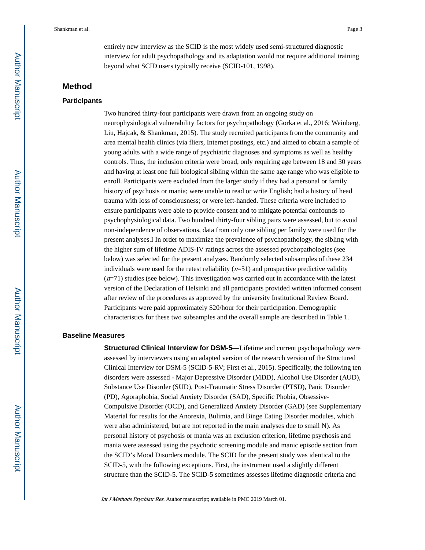entirely new interview as the SCID is the most widely used semi-structured diagnostic interview for adult psychopathology and its adaptation would not require additional training beyond what SCID users typically receive (SCID-101, 1998).

## **Method**

#### **Participants**

Two hundred thirty-four participants were drawn from an ongoing study on neurophysiological vulnerability factors for psychopathology (Gorka et al., 2016; Weinberg, Liu, Hajcak, & Shankman, 2015). The study recruited participants from the community and area mental health clinics (via fliers, Internet postings, etc.) and aimed to obtain a sample of young adults with a wide range of psychiatric diagnoses and symptoms as well as healthy controls. Thus, the inclusion criteria were broad, only requiring age between 18 and 30 years and having at least one full biological sibling within the same age range who was eligible to enroll. Participants were excluded from the larger study if they had a personal or family history of psychosis or mania; were unable to read or write English; had a history of head trauma with loss of consciousness; or were left-handed. These criteria were included to ensure participants were able to provide consent and to mitigate potential confounds to psychophysiological data. Two hundred thirty-four sibling pairs were assessed, but to avoid non-independence of observations, data from only one sibling per family were used for the present analyses.I In order to maximize the prevalence of psychopathology, the sibling with the higher sum of lifetime ADIS-IV ratings across the assessed psychopathologies (see below) was selected for the present analyses. Randomly selected subsamples of these 234 individuals were used for the retest reliability  $(n=51)$  and prospective predictive validity  $(n=71)$  studies (see below). This investigation was carried out in accordance with the latest version of the Declaration of Helsinki and all participants provided written informed consent after review of the procedures as approved by the university Institutional Review Board. Participants were paid approximately \$20/hour for their participation. Demographic characteristics for these two subsamples and the overall sample are described in Table 1.

#### **Baseline Measures**

**Structured Clinical Interview for DSM-5—Lifetime and current psychopathology were** assessed by interviewers using an adapted version of the research version of the Structured Clinical Interview for DSM-5 (SCID-5-RV; First et al., 2015). Specifically, the following ten disorders were assessed - Major Depressive Disorder (MDD), Alcohol Use Disorder (AUD), Substance Use Disorder (SUD), Post-Traumatic Stress Disorder (PTSD), Panic Disorder (PD), Agoraphobia, Social Anxiety Disorder (SAD), Specific Phobia, Obsessive-Compulsive Disorder (OCD), and Generalized Anxiety Disorder (GAD) (see Supplementary Material for results for the Anorexia, Bulimia, and Binge Eating Disorder modules, which were also administered, but are not reported in the main analyses due to small N). As personal history of psychosis or mania was an exclusion criterion, lifetime psychosis and mania were assessed using the psychotic screening module and manic episode section from the SCID's Mood Disorders module. The SCID for the present study was identical to the SCID-5, with the following exceptions. First, the instrument used a slightly different structure than the SCID-5. The SCID-5 sometimes assesses lifetime diagnostic criteria and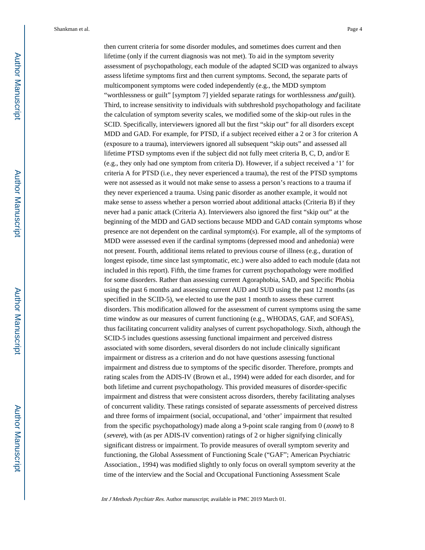then current criteria for some disorder modules, and sometimes does current and then lifetime (only if the current diagnosis was not met). To aid in the symptom severity assessment of psychopathology, each module of the adapted SCID was organized to always assess lifetime symptoms first and then current symptoms. Second, the separate parts of multicomponent symptoms were coded independently (e.g., the MDD symptom "worthlessness or guilt" [symptom 7] yielded separate ratings for worthlessness *and* guilt). Third, to increase sensitivity to individuals with subthreshold psychopathology and facilitate the calculation of symptom severity scales, we modified some of the skip-out rules in the SCID. Specifically, interviewers ignored all but the first "skip out" for all disorders except MDD and GAD. For example, for PTSD, if a subject received either a 2 or 3 for criterion A (exposure to a trauma), interviewers ignored all subsequent "skip outs" and assessed all lifetime PTSD symptoms even if the subject did not fully meet criteria B, C, D, and/or E (e.g., they only had one symptom from criteria D). However, if a subject received a '1' for criteria A for PTSD (i.e., they never experienced a trauma), the rest of the PTSD symptoms were not assessed as it would not make sense to assess a person's reactions to a trauma if they never experienced a trauma. Using panic disorder as another example, it would not make sense to assess whether a person worried about additional attacks (Criteria B) if they never had a panic attack (Criteria A). Interviewers also ignored the first "skip out" at the beginning of the MDD and GAD sections because MDD and GAD contain symptoms whose presence are not dependent on the cardinal symptom(s). For example, all of the symptoms of MDD were assessed even if the cardinal symptoms (depressed mood and anhedonia) were not present. Fourth, additional items related to previous course of illness (e.g., duration of longest episode, time since last symptomatic, etc.) were also added to each module (data not included in this report). Fifth, the time frames for current psychopathology were modified for some disorders. Rather than assessing current Agoraphobia, SAD, and Specific Phobia using the past 6 months and assessing current AUD and SUD using the past 12 months (as specified in the SCID-5), we elected to use the past 1 month to assess these current disorders. This modification allowed for the assessment of current symptoms using the same time window as our measures of current functioning (e.g., WHODAS, GAF, and SOFAS), thus facilitating concurrent validity analyses of current psychopathology. Sixth, although the SCID-5 includes questions assessing functional impairment and perceived distress associated with some disorders, several disorders do not include clinically significant impairment or distress as a criterion and do not have questions assessing functional impairment and distress due to symptoms of the specific disorder. Therefore, prompts and rating scales from the ADIS-IV (Brown et al., 1994) were added for each disorder, and for both lifetime and current psychopathology. This provided measures of disorder-specific impairment and distress that were consistent across disorders, thereby facilitating analyses of concurrent validity. These ratings consisted of separate assessments of perceived distress and three forms of impairment (social, occupational, and 'other' impairment that resulted from the specific psychopathology) made along a 9-point scale ranging from 0 (none) to 8 (severe), with (as per ADIS-IV convention) ratings of 2 or higher signifying clinically significant distress or impairment. To provide measures of overall symptom severity and functioning, the Global Assessment of Functioning Scale ("GAF"; American Psychiatric Association., 1994) was modified slightly to only focus on overall symptom severity at the time of the interview and the Social and Occupational Functioning Assessment Scale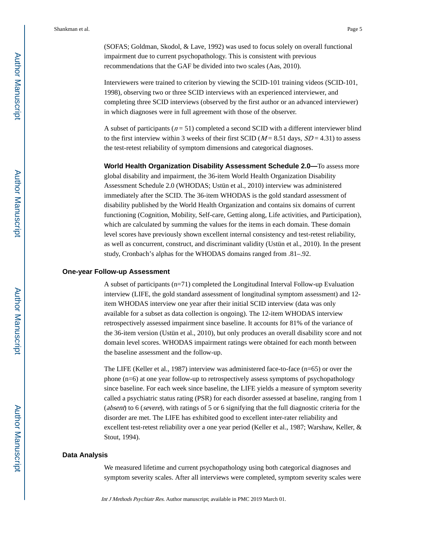(SOFAS; Goldman, Skodol, & Lave, 1992) was used to focus solely on overall functional impairment due to current psychopathology. This is consistent with previous recommendations that the GAF be divided into two scales (Aas, 2010).

Interviewers were trained to criterion by viewing the SCID-101 training videos (SCID-101, 1998), observing two or three SCID interviews with an experienced interviewer, and completing three SCID interviews (observed by the first author or an advanced interviewer) in which diagnoses were in full agreement with those of the observer.

A subset of participants ( $n = 51$ ) completed a second SCID with a different interviewer blind to the first interview within 3 weeks of their first SCID ( $M = 8.51$  days,  $SD = 4.31$ ) to assess the test-retest reliability of symptom dimensions and categorical diagnoses.

**World Health Organization Disability Assessment Schedule 2.0—**To assess more global disability and impairment, the 36-item World Health Organization Disability Assessment Schedule 2.0 (WHODAS; Ustün et al., 2010) interview was administered immediately after the SCID. The 36-item WHODAS is the gold standard assessment of disability published by the World Health Organization and contains six domains of current functioning (Cognition, Mobility, Self-care, Getting along, Life activities, and Participation), which are calculated by summing the values for the items in each domain. These domain level scores have previously shown excellent internal consistency and test-retest reliability, as well as concurrent, construct, and discriminant validity (Ustün et al., 2010). In the present study, Cronbach's alphas for the WHODAS domains ranged from .81–.92.

#### **One-year Follow-up Assessment**

A subset of participants (n=71) completed the Longitudinal Interval Follow-up Evaluation interview (LIFE, the gold standard assessment of longitudinal symptom assessment) and 12 item WHODAS interview one year after their initial SCID interview (data was only available for a subset as data collection is ongoing). The 12-item WHODAS interview retrospectively assessed impairment since baseline. It accounts for 81% of the variance of the 36-item version (Ustün et al., 2010), but only produces an overall disability score and not domain level scores. WHODAS impairment ratings were obtained for each month between the baseline assessment and the follow-up.

The LIFE (Keller et al., 1987) interview was administered face-to-face (n=65) or over the phone (n=6) at one year follow-up to retrospectively assess symptoms of psychopathology since baseline. For each week since baseline, the LIFE yields a measure of symptom severity called a psychiatric status rating (PSR) for each disorder assessed at baseline, ranging from 1 (absent) to 6 (severe), with ratings of 5 or 6 signifying that the full diagnostic criteria for the disorder are met. The LIFE has exhibited good to excellent inter-rater reliability and excellent test-retest reliability over a one year period (Keller et al., 1987; Warshaw, Keller, & Stout, 1994).

#### **Data Analysis**

We measured lifetime and current psychopathology using both categorical diagnoses and symptom severity scales. After all interviews were completed, symptom severity scales were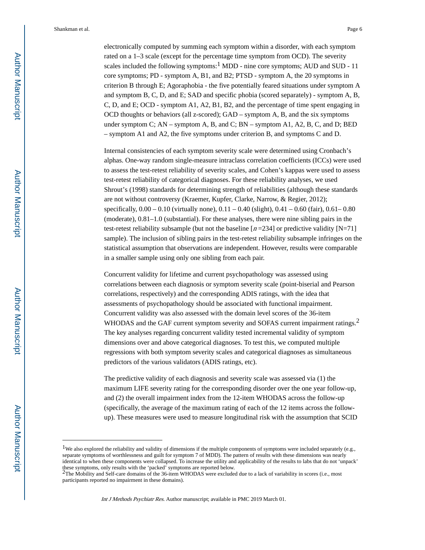electronically computed by summing each symptom within a disorder, with each symptom rated on a 1–3 scale (except for the percentage time symptom from OCD). The severity scales included the following symptoms: $1 \text{ MDD}$  - nine core symptoms; AUD and SUD - 11 core symptoms; PD - symptom A, B1, and B2; PTSD - symptom A, the 20 symptoms in criterion B through E; Agoraphobia - the five potentially feared situations under symptom A and symptom B, C, D, and E; SAD and specific phobia (scored separately) - symptom A, B, C, D, and E; OCD - symptom A1, A2, B1, B2, and the percentage of time spent engaging in OCD thoughts or behaviors (all z-scored); GAD – symptom A, B, and the six symptoms under symptom C; AN – symptom A, B, and C; BN – symptom A1, A2, B, C, and D; BED – symptom A1 and A2, the five symptoms under criterion B, and symptoms C and D.

Internal consistencies of each symptom severity scale were determined using Cronbach's alphas. One-way random single-measure intraclass correlation coefficients (ICCs) were used to assess the test-retest reliability of severity scales, and Cohen's kappas were used to assess test-retest reliability of categorical diagnoses. For these reliability analyses, we used Shrout's (1998) standards for determining strength of reliabilities (although these standards are not without controversy (Kraemer, Kupfer, Clarke, Narrow, & Regier, 2012); specifically,  $0.00 - 0.10$  (virtually none),  $0.11 - 0.40$  (slight),  $0.41 - 0.60$  (fair),  $0.61 - 0.80$ (moderate), 0.81–1.0 (substantial). For these analyses, there were nine sibling pairs in the test-retest reliability subsample (but not the baseline  $[n=234]$  or predictive validity [N=71] sample). The inclusion of sibling pairs in the test-retest reliability subsample infringes on the statistical assumption that observations are independent. However, results were comparable in a smaller sample using only one sibling from each pair.

Concurrent validity for lifetime and current psychopathology was assessed using correlations between each diagnosis or symptom severity scale (point-biserial and Pearson correlations, respectively) and the corresponding ADIS ratings, with the idea that assessments of psychopathology should be associated with functional impairment. Concurrent validity was also assessed with the domain level scores of the 36-item WHODAS and the GAF current symptom severity and SOFAS current impairment ratings.<sup>2</sup> The key analyses regarding concurrent validity tested incremental validity of symptom dimensions over and above categorical diagnoses. To test this, we computed multiple regressions with both symptom severity scales and categorical diagnoses as simultaneous predictors of the various validators (ADIS ratings, etc).

The predictive validity of each diagnosis and severity scale was assessed via (1) the maximum LIFE severity rating for the corresponding disorder over the one year follow-up, and (2) the overall impairment index from the 12-item WHODAS across the follow-up (specifically, the average of the maximum rating of each of the 12 items across the followup). These measures were used to measure longitudinal risk with the assumption that SCID

<sup>&</sup>lt;sup>1</sup>We also explored the reliability and validity of dimensions if the multiple components of symptoms were included separately (e.g., separate symptoms of worthlessness and guilt for symptom 7 of MDD). The pattern of results with these dimensions was nearly identical to when these components were collapsed. To increase the utility and applicability of the results to labs that do not 'unpack' these symptoms, only results with the 'packed' symptoms are reported below.<br><sup>2</sup>The Mobility and Self-care domains of the 36-item WHODAS were excluded due to a lack of variability in scores (i.e., most

participants reported no impairment in these domains).

Int J Methods Psychiatr Res. Author manuscript; available in PMC 2019 March 01.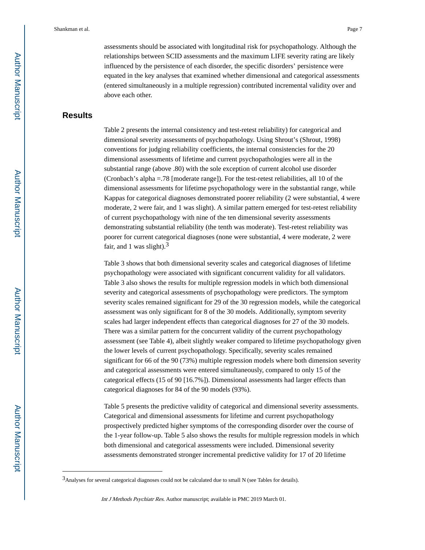assessments should be associated with longitudinal risk for psychopathology. Although the relationships between SCID assessments and the maximum LIFE severity rating are likely influenced by the persistence of each disorder, the specific disorders' persistence were equated in the key analyses that examined whether dimensional and categorical assessments (entered simultaneously in a multiple regression) contributed incremental validity over and above each other.

## **Results**

Table 2 presents the internal consistency and test-retest reliability) for categorical and dimensional severity assessments of psychopathology. Using Shrout's (Shrout, 1998) conventions for judging reliability coefficients, the internal consistencies for the 20 dimensional assessments of lifetime and current psychopathologies were all in the substantial range (above .80) with the sole exception of current alcohol use disorder (Cronbach's alpha =.78 [moderate range]). For the test-retest reliabilities, all 10 of the dimensional assessments for lifetime psychopathology were in the substantial range, while Kappas for categorical diagnoses demonstrated poorer reliability (2 were substantial, 4 were moderate, 2 were fair, and 1 was slight). A similar pattern emerged for test-retest reliability of current psychopathology with nine of the ten dimensional severity assessments demonstrating substantial reliability (the tenth was moderate). Test-retest reliability was poorer for current categorical diagnoses (none were substantial, 4 were moderate, 2 were fair, and 1 was slight).<sup>3</sup>

Table 3 shows that both dimensional severity scales and categorical diagnoses of lifetime psychopathology were associated with significant concurrent validity for all validators. Table 3 also shows the results for multiple regression models in which both dimensional severity and categorical assessments of psychopathology were predictors. The symptom severity scales remained significant for 29 of the 30 regression models, while the categorical assessment was only significant for 8 of the 30 models. Additionally, symptom severity scales had larger independent effects than categorical diagnoses for 27 of the 30 models. There was a similar pattern for the concurrent validity of the current psychopathology assessment (see Table 4), albeit slightly weaker compared to lifetime psychopathology given the lower levels of current psychopathology. Specifically, severity scales remained significant for 66 of the 90 (73%) multiple regression models where both dimension severity and categorical assessments were entered simultaneously, compared to only 15 of the categorical effects (15 of 90 [16.7%]). Dimensional assessments had larger effects than categorical diagnoses for 84 of the 90 models (93%).

Table 5 presents the predictive validity of categorical and dimensional severity assessments. Categorical and dimensional assessments for lifetime and current psychopathology prospectively predicted higher symptoms of the corresponding disorder over the course of the 1-year follow-up. Table 5 also shows the results for multiple regression models in which both dimensional and categorical assessments were included. Dimensional severity assessments demonstrated stronger incremental predictive validity for 17 of 20 lifetime

<sup>&</sup>lt;sup>3</sup>Analyses for several categorical diagnoses could not be calculated due to small N (see Tables for details).

Int J Methods Psychiatr Res. Author manuscript; available in PMC 2019 March 01.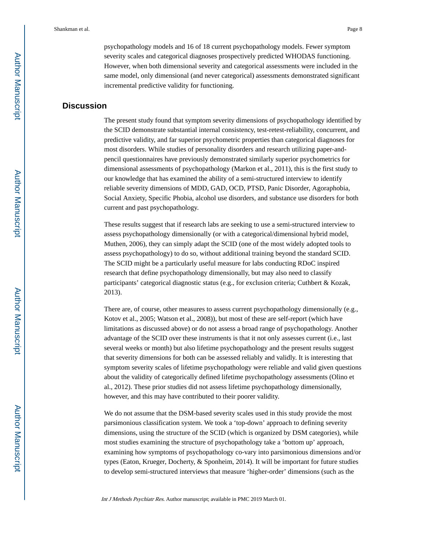psychopathology models and 16 of 18 current psychopathology models. Fewer symptom severity scales and categorical diagnoses prospectively predicted WHODAS functioning. However, when both dimensional severity and categorical assessments were included in the same model, only dimensional (and never categorical) assessments demonstrated significant incremental predictive validity for functioning.

## **Discussion**

The present study found that symptom severity dimensions of psychopathology identified by the SCID demonstrate substantial internal consistency, test-retest-reliability, concurrent, and predictive validity, and far superior psychometric properties than categorical diagnoses for most disorders. While studies of personality disorders and research utilizing paper-andpencil questionnaires have previously demonstrated similarly superior psychometrics for dimensional assessments of psychopathology (Markon et al., 2011), this is the first study to our knowledge that has examined the ability of a semi-structured interview to identify reliable severity dimensions of MDD, GAD, OCD, PTSD, Panic Disorder, Agoraphobia, Social Anxiety, Specific Phobia, alcohol use disorders, and substance use disorders for both current and past psychopathology.

These results suggest that if research labs are seeking to use a semi-structured interview to assess psychopathology dimensionally (or with a categorical/dimensional hybrid model, Muthen, 2006), they can simply adapt the SCID (one of the most widely adopted tools to assess psychopathology) to do so, without additional training beyond the standard SCID. The SCID might be a particularly useful measure for labs conducting RDoC inspired research that define psychopathology dimensionally, but may also need to classify participants' categorical diagnostic status (e.g., for exclusion criteria; Cuthbert & Kozak, 2013).

There are, of course, other measures to assess current psychopathology dimensionally (e.g., Kotov et al., 2005; Watson et al., 2008)), but most of these are self-report (which have limitations as discussed above) or do not assess a broad range of psychopathology. Another advantage of the SCID over these instruments is that it not only assesses current (i.e., last several weeks or month) but also lifetime psychopathology and the present results suggest that severity dimensions for both can be assessed reliably and validly. It is interesting that symptom severity scales of lifetime psychopathology were reliable and valid given questions about the validity of categorically defined lifetime psychopathology assessments (Olino et al., 2012). These prior studies did not assess lifetime psychopathology dimensionally, however, and this may have contributed to their poorer validity.

We do not assume that the DSM-based severity scales used in this study provide the most parsimonious classification system. We took a 'top-down' approach to defining severity dimensions, using the structure of the SCID (which is organized by DSM categories), while most studies examining the structure of psychopathology take a 'bottom up' approach, examining how symptoms of psychopathology co-vary into parsimonious dimensions and/or types (Eaton, Krueger, Docherty, & Sponheim, 2014). It will be important for future studies to develop semi-structured interviews that measure 'higher-order' dimensions (such as the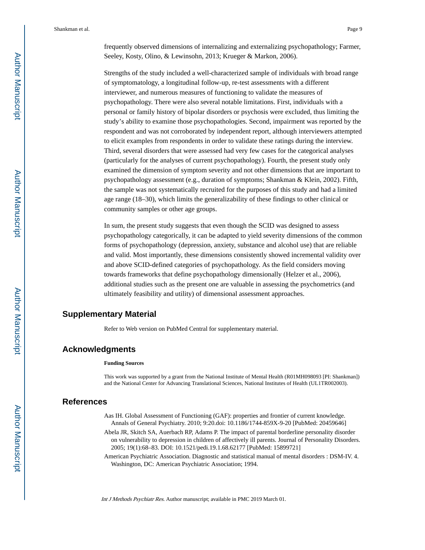frequently observed dimensions of internalizing and externalizing psychopathology; Farmer, Seeley, Kosty, Olino, & Lewinsohn, 2013; Krueger & Markon, 2006).

Strengths of the study included a well-characterized sample of individuals with broad range of symptomatology, a longitudinal follow-up, re-test assessments with a different interviewer, and numerous measures of functioning to validate the measures of psychopathology. There were also several notable limitations. First, individuals with a personal or family history of bipolar disorders or psychosis were excluded, thus limiting the study's ability to examine those psychopathologies. Second, impairment was reported by the respondent and was not corroborated by independent report, although interviewers attempted to elicit examples from respondents in order to validate these ratings during the interview. Third, several disorders that were assessed had very few cases for the categorical analyses (particularly for the analyses of current psychopathology). Fourth, the present study only examined the dimension of symptom severity and not other dimensions that are important to psychopathology assessment (e.g., duration of symptoms; Shankman & Klein, 2002). Fifth, the sample was not systematically recruited for the purposes of this study and had a limited age range (18–30), which limits the generalizability of these findings to other clinical or community samples or other age groups.

In sum, the present study suggests that even though the SCID was designed to assess psychopathology categorically, it can be adapted to yield severity dimensions of the common forms of psychopathology (depression, anxiety, substance and alcohol use) that are reliable and valid. Most importantly, these dimensions consistently showed incremental validity over and above SCID-defined categories of psychopathology. As the field considers moving towards frameworks that define psychopathology dimensionally (Helzer et al., 2006), additional studies such as the present one are valuable in assessing the psychometrics (and ultimately feasibility and utility) of dimensional assessment approaches.

## **Supplementary Material**

Refer to Web version on PubMed Central for supplementary material.

## **Acknowledgments**

#### **Funding Sources**

This work was supported by a grant from the National Institute of Mental Health (R01MH098093 [PI: Shankman]) and the National Center for Advancing Translational Sciences, National Institutes of Health (UL1TR002003).

## **References**

- Aas IH. Global Assessment of Functioning (GAF): properties and frontier of current knowledge. Annals of General Psychiatry. 2010; 9:20.doi: 10.1186/1744-859X-9-20 [PubMed: 20459646]
- Abela JR, Skitch SA, Auerbach RP, Adams P. The impact of parental borderline personality disorder on vulnerability to depression in children of affectively ill parents. Journal of Personality Disorders. 2005; 19(1):68–83. DOI: 10.1521/pedi.19.1.68.62177 [PubMed: 15899721]
- American Psychiatric Association. Diagnostic and statistical manual of mental disorders : DSM-IV. 4. Washington, DC: American Psychiatric Association; 1994.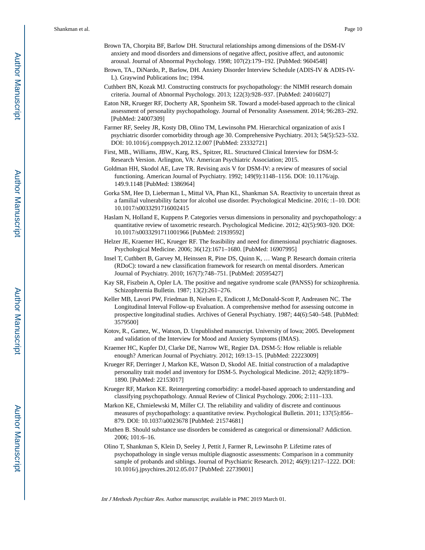- Brown TA, Chorpita BF, Barlow DH. Structural relationships among dimensions of the DSM-IV anxiety and mood disorders and dimensions of negative affect, positive affect, and autonomic arousal. Journal of Abnormal Psychology. 1998; 107(2):179–192. [PubMed: 9604548]
- Brown, TA., DiNardo, P., Barlow, DH. Anxiety Disorder Interview Schedule (ADIS-IV & ADIS-IV-L). Graywind Publications Inc; 1994.
- Cuthbert BN, Kozak MJ. Constructing constructs for psychopathology: the NIMH research domain criteria. Journal of Abnormal Psychology. 2013; 122(3):928–937. [PubMed: 24016027]
- Eaton NR, Krueger RF, Docherty AR, Sponheim SR. Toward a model-based approach to the clinical assessment of personality psychopathology. Journal of Personality Assessment. 2014; 96:283–292. [PubMed: 24007309]
- Farmer RF, Seeley JR, Kosty DB, Olino TM, Lewinsohn PM. Hierarchical organization of axis I psychiatric disorder comorbidity through age 30. Comprehensive Psychiatry. 2013; 54(5):523–532. DOI: 10.1016/j.comppsych.2012.12.007 [PubMed: 23332721]
- First, MB., Williams, JBW., Karg, RS., Spitzer, RL. Structured Clinical Interview for DSM-5: Research Version. Arlington, VA: American Psychiatric Association; 2015.
- Goldman HH, Skodol AE, Lave TR. Revising axis V for DSM-IV: a review of measures of social functioning. American Journal of Psychiatry. 1992; 149(9):1148–1156. DOI: 10.1176/ajp. 149.9.1148 [PubMed: 1386964]
- Gorka SM, Hee D, Lieberman L, Mittal VA, Phan KL, Shankman SA. Reactivity to uncertain threat as a familial vulnerability factor for alcohol use disorder. Psychological Medicine. 2016; :1–10. DOI: 10.1017/s0033291716002415
- Haslam N, Holland E, Kuppens P. Categories versus dimensions in personality and psychopathology: a quantitative review of taxometric research. Psychological Medicine. 2012; 42(5):903–920. DOI: 10.1017/s0033291711001966 [PubMed: 21939592]
- Helzer JE, Kraemer HC, Krueger RF. The feasibility and need for dimensional psychiatric diagnoses. Psychological Medicine. 2006; 36(12):1671–1680. [PubMed: 16907995]
- Insel T, Cuthbert B, Garvey M, Heinssen R, Pine DS, Quinn K, … Wang P. Research domain criteria (RDoC): toward a new classification framework for research on mental disorders. American Journal of Psychiatry. 2010; 167(7):748–751. [PubMed: 20595427]
- Kay SR, Fiszbein A, Opler LA. The positive and negative syndrome scale (PANSS) for schizophrenia. Schizophrernia Bulletin. 1987; 13(2):261–276.
- Keller MB, Lavori PW, Friedman B, Nielsen E, Endicott J, McDonald-Scott P, Andreasen NC. The Longitudinal Interval Follow-up Evaluation. A comprehensive method for assessing outcome in prospective longitudinal studies. Archives of General Psychiatry. 1987; 44(6):540–548. [PubMed: 3579500]
- Kotov, R., Gamez, W., Watson, D. Unpublished manuscript. University of Iowa; 2005. Development and validation of the Interview for Mood and Anxiety Symptoms (IMAS).
- Kraemer HC, Kupfer DJ, Clarke DE, Narrow WE, Regier DA. DSM-5: How reliable is reliable enough? American Journal of Psychiatry. 2012; 169:13–15. [PubMed: 22223009]
- Krueger RF, Derringer J, Markon KE, Watson D, Skodol AE. Initial construction of a maladaptive personality trait model and inventory for DSM-5. Psychological Medicine. 2012; 42(9):1879– 1890. [PubMed: 22153017]
- Krueger RF, Markon KE. Reinterpreting comorbidity: a model-based approach to understanding and classifying psychopathology. Annual Review of Clinical Psychology. 2006; 2:111–133.
- Markon KE, Chmielewski M, Miller CJ. The reliability and validity of discrete and continuous measures of psychopathology: a quantitative review. Psychological Bulletin. 2011; 137(5):856– 879. DOI: 10.1037/a0023678 [PubMed: 21574681]
- Muthen B. Should substance use disorders be considered as categorical or dimensional? Addiction. 2006; 101:6–16.
- Olino T, Shankman S, Klein D, Seeley J, Pettit J, Farmer R, Lewinsohn P. Lifetime rates of psychopathology in single versus multiple diagnostic assessments: Comparison in a community sample of probands and siblings. Journal of Psychiatric Research. 2012; 46(9):1217–1222. DOI: 10.1016/j.jpsychires.2012.05.017 [PubMed: 22739001]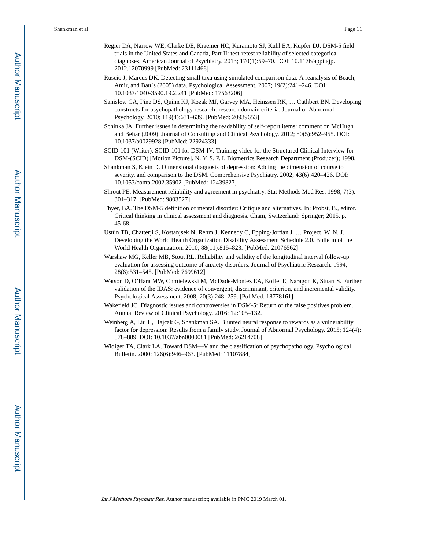- Regier DA, Narrow WE, Clarke DE, Kraemer HC, Kuramoto SJ, Kuhl EA, Kupfer DJ. DSM-5 field trials in the United States and Canada, Part II: test-retest reliability of selected categorical diagnoses. American Journal of Psychiatry. 2013; 170(1):59–70. DOI: 10.1176/appi.ajp. 2012.12070999 [PubMed: 23111466]
- Ruscio J, Marcus DK. Detecting small taxa using simulated comparison data: A reanalysis of Beach, Amir, and Bau's (2005) data. Psychological Assessment. 2007; 19(2):241–246. DOI: 10.1037/1040-3590.19.2.241 [PubMed: 17563206]
- Sanislow CA, Pine DS, Quinn KJ, Kozak MJ, Garvey MA, Heinssen RK, … Cuthbert BN. Developing constructs for psychopathology research: research domain criteria. Journal of Abnormal Psychology. 2010; 119(4):631–639. [PubMed: 20939653]
- Schinka JA. Further issues in determining the readability of self-report items: comment on McHugh and Behar (2009). Journal of Consulting and Clinical Psychology. 2012; 80(5):952–955. DOI: 10.1037/a0029928 [PubMed: 22924333]
- SCID-101 (Writer). SCID-101 for DSM-IV: Training video for the Structured Clinical Interview for DSM-(SCID) [Motion Picture]. N. Y. S. P. I. Biometrics Research Department (Producer); 1998.
- Shankman S, Klein D. Dimensional diagnosis of depression: Adding the dimension of course to severity, and comparison to the DSM. Comprehensive Psychiatry. 2002; 43(6):420–426. DOI: 10.1053/comp.2002.35902 [PubMed: 12439827]
- Shrout PE. Measurement reliability and agreement in psychiatry. Stat Methods Med Res. 1998; 7(3): 301–317. [PubMed: 9803527]
- Thyer, BA. The DSM-5 definition of mental disorder: Critique and alternatives. In: Probst, B., editor. Critical thinking in clinical assessment and diagnosis. Cham, Switzerland: Springer; 2015. p. 45-68.
- Ustün TB, Chatterji S, Kostanjsek N, Rehm J, Kennedy C, Epping-Jordan J. … Project, W. N. J. Developing the World Health Organization Disability Assessment Schedule 2.0. Bulletin of the World Health Organization. 2010; 88(11):815–823. [PubMed: 21076562]
- Warshaw MG, Keller MB, Stout RL. Reliability and validity of the longitudinal interval follow-up evaluation for assessing outcome of anxiety disorders. Journal of Psychiatric Research. 1994; 28(6):531–545. [PubMed: 7699612]
- Watson D, O'Hara MW, Chmielewski M, McDade-Montez EA, Koffel E, Naragon K, Stuart S. Further validation of the IDAS: evidence of convergent, discriminant, criterion, and incremental validity. Psychological Assessment. 2008; 20(3):248–259. [PubMed: 18778161]
- Wakefield JC. Diagnostic issues and controversies in DSM-5: Return of the false positives problem. Annual Review of Clinical Psychology. 2016; 12:105–132.
- Weinberg A, Liu H, Hajcak G, Shankman SA. Blunted neural response to rewards as a vulnerability factor for depression: Results from a family study. Journal of Abnormal Psychology. 2015; 124(4): 878–889. DOI: 10.1037/abn0000081 [PubMed: 26214708]
- Widiger TA, Clark LA. Toward DSM—V and the classification of psychopathology. Psychological Bulletin. 2000; 126(6):946–963. [PubMed: 11107884]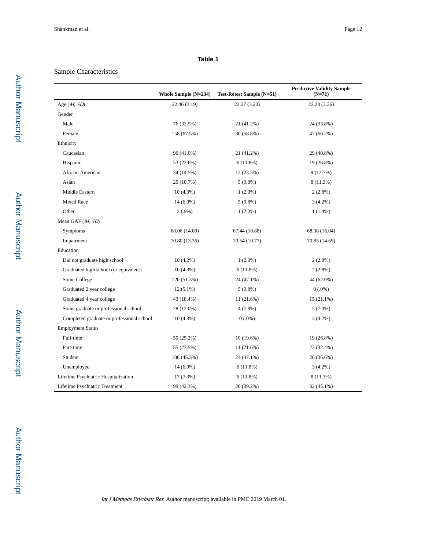## Sample Characteristics

|                                           | Whole Sample (N=234) | Test-Retest Sample (N=51) | <b>Predictive Validity Sample</b><br>$(N=71)$ |
|-------------------------------------------|----------------------|---------------------------|-----------------------------------------------|
| Age $(M, SD)$                             | 22.46 (3.19)         | 22.27 (3.20)              | 22.23 (3.36)                                  |
| Gender                                    |                      |                           |                                               |
| Male                                      | 76 (32.5%)           | 21 (41.2%)                | 24 (33.8%)                                    |
| Female                                    | 158 (67.5%)          | 30 (58.8%)                | 47 (66.2%)                                    |
| Ethnicity                                 |                      |                           |                                               |
| Caucasian                                 | 96 (41.0%)           | 21 (41.2%)                | 29 (40.8%)                                    |
| Hispanic                                  | 53 (22.6%)           | 6(11.8%)                  | 19 (26.8%)                                    |
| African American                          | 34 (14.5%)           | 12 (23.5%)                | 9(12.7%)                                      |
| Asian                                     | 25 (10.7%)           | $5(9.8\%)$                | 8 (11.3%)                                     |
| Middle Eastern                            | $10(4.3\%)$          | $1(2.0\%)$                | $2(2.8\%)$                                    |
| Mixed Race                                | $14(6.0\%)$          | $5(9.8\%)$                | $3(4.2\%)$                                    |
| Other                                     | $2(.9\%)$            | $1(2.0\%)$                | $1(1.4\%)$                                    |
| Mean GAF (M, SD)                          |                      |                           |                                               |
| Symptoms                                  | 68.06 (14.00)        | 67.44 (10.88)             | 68.38 (16.04)                                 |
| Impairment                                | 70.80 (13.36)        | 70.54 (10.77)             | 70.85 (14.69)                                 |
| Education                                 |                      |                           |                                               |
| Did not graduate high school              | $10(4.2\%)$          | $1(2.0\%)$                | $2(2.8\%)$                                    |
| Graduated high school (or equivalent)     | $10(4.3\%)$          | 6(11.8%)                  | $2(2.8\%)$                                    |
| Some College                              | 120 (51.3%)          | 24 (47.1%)                | 44 (62.0%)                                    |
| Graduated 2 year college                  | $12(5.1\%)$          | $5(9.8\%)$                | $0(.0\%)$                                     |
| Graduated 4 year college                  | 43 (18.4%)           | 11 (21.6%)                | $15(21.1\%)$                                  |
| Some graduate or professional school      | 28 (12.0%)           | $4(7.8\%)$                | $5(7.0\%)$                                    |
| Completed graduate or professional school | 10(4.3%)             | $0(.0\%)$                 | $3(4.2\%)$                                    |
| <b>Employment Status</b>                  |                      |                           |                                               |
| Full-time                                 | 59 (25.2%)           | $10(19.6\%)$              | 19 (26.8%)                                    |
| Part-time                                 | 55 (23.5%)           | 11 (21.6%)                | 23 (32.4%)                                    |
| Student                                   | 106 (45.3%)          | 24 (47.1%)                | 26 (36.6%)                                    |
| Unemployed                                | $14(6.0\%)$          | 6(11.8%)                  | $3(4.2\%)$                                    |
| Lifetime Psychiatric Hospitalization      | $17(7.3\%)$          | 6(11.8%)                  | 8 (11.3%)                                     |
| Lifetime Psychiatric Treatment            | 99 (42.3%)           | 20 (39.2%)                | 32 (45.1%)                                    |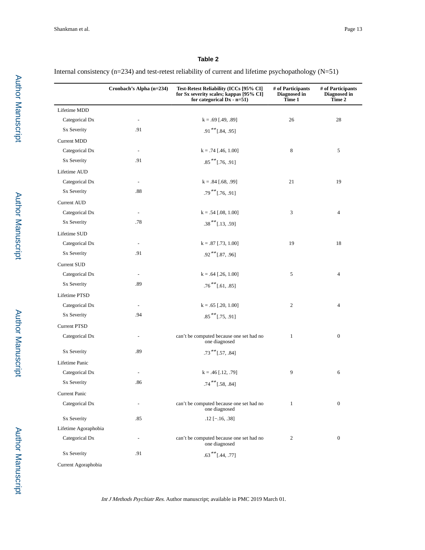Internal consistency (n=234) and test-retest reliability of current and lifetime psychopathology (N=51)

|                      | Cronbach's Alpha (n=234) | Test-Retest Reliability (ICCs [95% CI]<br>for Sx severity scales; kappas [95% CI]<br>for categorical $Dx - n=51$ ) | # of Participants<br>Diagnosed in<br>Time 1 | # of Participants<br>Diagnosed in<br>Time 2 |
|----------------------|--------------------------|--------------------------------------------------------------------------------------------------------------------|---------------------------------------------|---------------------------------------------|
| Lifetime MDD         |                          |                                                                                                                    |                                             |                                             |
| Categorical Dx       | $\overline{\phantom{a}}$ | $k = .69$ [.49, .89]                                                                                               | 26                                          | 28                                          |
| Sx Severity          | .91                      | $.91$ <sup>**</sup> [.84, .95]                                                                                     |                                             |                                             |
| <b>Current MDD</b>   |                          |                                                                                                                    |                                             |                                             |
| Categorical Dx       | $\overline{\phantom{a}}$ | $k = .74$ [.46, 1.00]                                                                                              | 8                                           | 5                                           |
| Sx Severity          | .91                      | $.85***$ [.76, .91]                                                                                                |                                             |                                             |
| Lifetime AUD         |                          |                                                                                                                    |                                             |                                             |
| Categorical Dx       | $\frac{1}{2}$            | $k = .84$ [.68, .99]                                                                                               | 21                                          | 19                                          |
| Sx Severity          | .88                      | $.79$ <sup>**</sup> [.76, .91]                                                                                     |                                             |                                             |
| <b>Current AUD</b>   |                          |                                                                                                                    |                                             |                                             |
| Categorical Dx       | $\overline{\phantom{a}}$ | $k = .54$ [.08, 1.00]                                                                                              | 3                                           | $\overline{4}$                              |
| Sx Severity          | .78                      | $.38***$ [.13, .59]                                                                                                |                                             |                                             |
| Lifetime SUD         |                          |                                                                                                                    |                                             |                                             |
| Categorical Dx       | $\overline{\phantom{a}}$ | $k = .87$ [.73, 1.00]                                                                                              | 19                                          | 18                                          |
| Sx Severity          | .91                      | $.92$ <sup>**</sup> [.87, .96]                                                                                     |                                             |                                             |
| Current SUD          |                          |                                                                                                                    |                                             |                                             |
| Categorical Dx       | $\blacksquare$           | $k = .64$ [.26, 1.00]                                                                                              | 5                                           | $\overline{4}$                              |
| Sx Severity          | .89                      | $.76***$ [.61, .85]                                                                                                |                                             |                                             |
| Lifetime PTSD        |                          |                                                                                                                    |                                             |                                             |
| Categorical Dx       |                          | $k = .65$ [.20, 1.00]                                                                                              | 2                                           | $\overline{4}$                              |
| Sx Severity          | .94                      | $.85***$ [.75, .91]                                                                                                |                                             |                                             |
| <b>Current PTSD</b>  |                          |                                                                                                                    |                                             |                                             |
| Categorical Dx       |                          | can't be computed because one set had no<br>one diagnosed                                                          | 1                                           | $\boldsymbol{0}$                            |
| <b>Sx Severity</b>   | .89                      | $.73$ ** [.57, .84]                                                                                                |                                             |                                             |
| Lifetime Panic       |                          |                                                                                                                    |                                             |                                             |
| Categorical Dx       | $\overline{\phantom{a}}$ | $k = .46$ [.12, .79]                                                                                               | 9                                           | 6                                           |
| Sx Severity          | .86                      | $.74$ $*$ [.58, .84]                                                                                               |                                             |                                             |
| Current Panic        |                          |                                                                                                                    |                                             |                                             |
| Categorical Dx       | $\overline{\phantom{m}}$ | can't be computed because one set had no<br>one diagnosed                                                          | $\mathbf{1}$                                | $\boldsymbol{0}$                            |
| <b>Sx Severity</b>   | .85                      | $.12$ [-.16, .38]                                                                                                  |                                             |                                             |
| Lifetime Agoraphobia |                          |                                                                                                                    |                                             |                                             |
| Categorical Dx       | $\overline{\phantom{m}}$ | can't be computed because one set had no<br>one diagnosed                                                          | $\overline{c}$                              | $\boldsymbol{0}$                            |
| Sx Severity          | .91                      | $.63***[.44, .77]$                                                                                                 |                                             |                                             |

Current Agoraphobia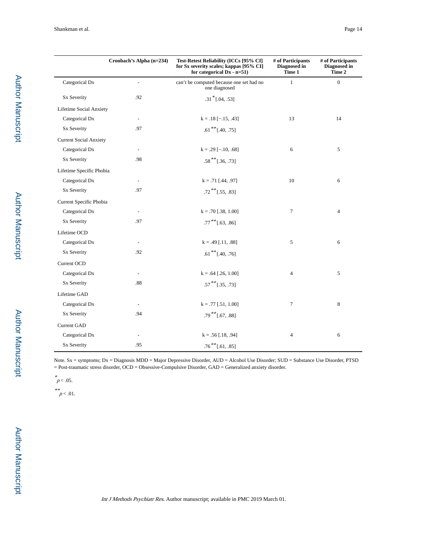|                               | Cronbach's Alpha (n=234) | Test-Retest Reliability (ICCs [95% CI]<br>for Sx severity scales; kappas [95% CI]<br>for categorical $Dx - n=51$ ) | # of Participants<br>Diagnosed in<br>Time 1 | # of Participants<br>Diagnosed in<br>Time 2 |
|-------------------------------|--------------------------|--------------------------------------------------------------------------------------------------------------------|---------------------------------------------|---------------------------------------------|
| Categorical Dx                | $\blacksquare$           | can't be computed because one set had no<br>one diagnosed                                                          | $\mathbf{1}$                                | $\overline{0}$                              |
| Sx Severity                   | .92                      | $.31$ * [.04, .53]                                                                                                 |                                             |                                             |
| Lifetime Social Anxiety       |                          |                                                                                                                    |                                             |                                             |
| Categorical Dx                | $\overline{\phantom{a}}$ | $k = .18[-.15, .43]$                                                                                               | 13                                          | 14                                          |
| <b>Sx Severity</b>            | .97                      | $.61$ <sup>**</sup> [.40, .75]                                                                                     |                                             |                                             |
| <b>Current Social Anxiety</b> |                          |                                                                                                                    |                                             |                                             |
| Categorical Dx                |                          | $k = .29$ [-.10, .68]                                                                                              | 6                                           | 5                                           |
| Sx Severity                   | .98                      | $.58***$ [.36, .73]                                                                                                |                                             |                                             |
| Lifetime Specific Phobia      |                          |                                                                                                                    |                                             |                                             |
| Categorical Dx                | $\overline{\phantom{a}}$ | $k = .71$ [.44, .97]                                                                                               | 10                                          | 6                                           |
| Sx Severity                   | .97                      | $.72$ <sup>**</sup> [.55, .83]                                                                                     |                                             |                                             |
| Current Specific Phobia       |                          |                                                                                                                    |                                             |                                             |
| Categorical Dx                | $\overline{\phantom{a}}$ | $k = .70$ [.38, 1.00]                                                                                              | $\tau$                                      | $\overline{4}$                              |
| <b>Sx Severity</b>            | .97                      | $.77***$ [.63, .86]                                                                                                |                                             |                                             |
| Lifetime OCD                  |                          |                                                                                                                    |                                             |                                             |
| Categorical Dx                | $\overline{\phantom{a}}$ | $k = .49$ [.11, .88]                                                                                               | 5                                           | 6                                           |
| <b>Sx Severity</b>            | .92                      | $.61$ <sup>**</sup> [.40, .76]                                                                                     |                                             |                                             |
| Current OCD                   |                          |                                                                                                                    |                                             |                                             |
| Categorical Dx                | $\sim$                   | $k = .64$ [.26, 1.00]                                                                                              | $\overline{4}$                              | 5                                           |
| <b>Sx Severity</b>            | .88                      | $.57***$ [.35, .73]                                                                                                |                                             |                                             |
| Lifetime GAD                  |                          |                                                                                                                    |                                             |                                             |
| Categorical Dx                | $\overline{\phantom{a}}$ | $k = .77$ [.51, 1.00]                                                                                              | $\overline{7}$                              | 8                                           |
| <b>Sx Severity</b>            | .94                      | $.79***$ [.67, .88]                                                                                                |                                             |                                             |
| Current GAD                   |                          |                                                                                                                    |                                             |                                             |
| Categorical Dx                | $\overline{\phantom{a}}$ | $k = .56$ [.18, .94]                                                                                               | 4                                           | 6                                           |
| <b>Sx Severity</b>            | .95                      | $.76$ $^{**}[-61, .85]$                                                                                            |                                             |                                             |

Note. Sx = symptoms; Dx = Diagnosis MDD = Major Depressive Disorder, AUD = Alcohol Use Disorder; SUD = Substance Use Disorder, PTSD = Post-traumatic stress disorder, OCD = Obsessive-Compulsive Disorder, GAD = Generalized anxiety disorder.

\* $p < .05$ .

\*\*<br> $p < .01$ .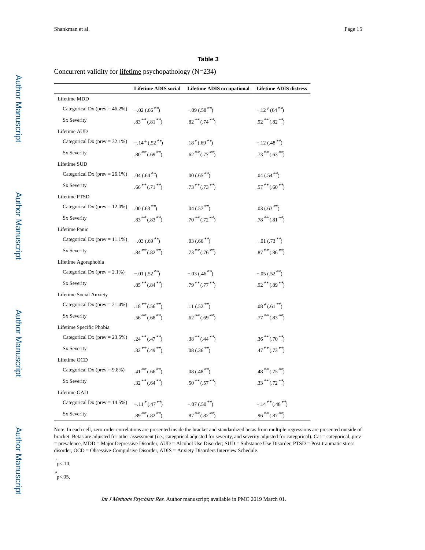Concurrent validity for lifetime psychopathology (N=234)

|                                   | <b>Lifetime ADIS</b> social | <b>Lifetime ADIS occupational</b>          | <b>Lifetime ADIS distress</b> |
|-----------------------------------|-----------------------------|--------------------------------------------|-------------------------------|
| Lifetime MDD                      |                             |                                            |                               |
| Categorical Dx ( $prev = 46.2\%)$ | $-.02$ (.66 <sup>**</sup> ) | $-.09(.58**)$                              | $-.12^{+}(64^{**})$           |
| <b>Sx Severity</b>                | $.83***(.81**)$             | $.82***(.74**)$                            | $.92***$ $(.82**)$            |
| Lifetime AUD                      |                             |                                            |                               |
| Categorical Dx ( $prev = 32.1\%)$ | $-.14^{+}(.52^{**})$        | $.18*(.69*)$                               | $-.12(.48**)$                 |
| <b>Sx Severity</b>                | $.80**(.69**)$              | $.62***(.77**)$                            | $.73***(.63**)$               |
| Lifetime SUD                      |                             |                                            |                               |
| Categorical Dx ( $prev = 26.1\%)$ | $.04(.64**)$                | $.00(.65**)$                               | .04 $(.54**)$                 |
| <b>Sx Severity</b>                | $.66***(0.71**)$            | $.73***(.73**)$                            | $.57***(.60**)$               |
| Lifetime PTSD                     |                             |                                            |                               |
| Categorical Dx ( $prev = 12.0\%)$ | $.00(.63**)$                | .04 $(.57 \times $                         | .03 $(.63^{**})$              |
| <b>Sx Severity</b>                | $.83***(.83**)$             | $.70***$ $(.72**)$                         | $.78***(.81**)$               |
| Lifetime Panic                    |                             |                                            |                               |
| Categorical Dx ( $prev = 11.1\%)$ | $-.03(.69**)$               | .03 $(.66^{**})$                           | $-0.01$ (.73 <sup>**</sup> )  |
| <b>Sx Severity</b>                | $.84***(.82**)$             | $.73***(.76**)$                            | $.87***(.86***)$              |
| Lifetime Agoraphobia              |                             |                                            |                               |
| Categorical Dx ( $prev = 2.1\%)$  | $-.01(.52**)$               | $-.03(.46**)$                              | $-.05(.52**)$                 |
| <b>Sx Severity</b>                | $.85***(.84**)$             | $.79***$ $(.77**)$                         | $.92***(.89**)$               |
| Lifetime Social Anxiety           |                             |                                            |                               |
| Categorical Dx (prev = $21.4\%$ ) | $.18***(.56**)$             | .11 $(.52^{**})$                           | $.08^{+}(.61^{**})$           |
| <b>Sx Severity</b>                | $.56***(.68**)$             | $.62$ <sup>**</sup> $(.69$ <sup>**</sup> ) | $.77***$ $(.83**)$            |
| Lifetime Specific Phobia          |                             |                                            |                               |
| Categorical Dx ( $prev = 23.5\%)$ | $.24***(.47**)$             | $.38***,(.44**)$                           | $.36***(.70**)$               |
| <b>Sx Severity</b>                | $.32***(.49**)$             | .08 (.36 <sup>**</sup> )                   | $.47***(0.73**)$              |
| Lifetime OCD                      |                             |                                            |                               |
| Categorical Dx ( $prev = 9.8\%)$  | $.41***(.66**)$             | .08 $(.48**)$                              | $.48***(.75**)$               |
| <b>Sx Severity</b>                | $.32***(.64**)$             | $.50**(.57**)$                             | $.33***(.72**)$               |
| Lifetime GAD                      |                             |                                            |                               |
| Categorical Dx ( $prev = 14.5\%)$ | $-.11*(.47*)$               | $-.07(.50**)$                              | $-.14***(0.48***)$            |
| Sx Severity                       | $.89***(.82**)$             | $.87***(.82**)$                            | $.96***(.87**)$               |

Note. In each cell, zero-order correlations are presented inside the bracket and standardized betas from multiple regressions are presented outside of bracket. Betas are adjusted for other assessment (i.e., categorical adjusted for severity, and severity adjusted for categorical). Cat = categorical, prev = prevalence, MDD = Major Depressive Disorder, AUD = Alcohol Use Disorder; SUD = Substance Use Disorder, PTSD = Post-traumatic stress disorder, OCD = Obsessive-Compulsive Disorder, ADIS = Anxiety Disorders Interview Schedule.

 $t_{\rm p<.10}$ 

 $_{\rm p<.05,}^{*}$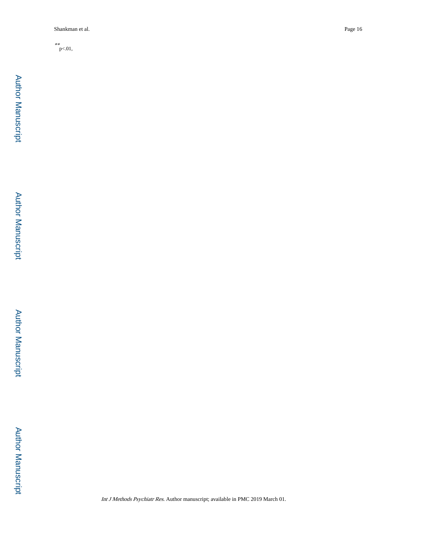\*\*<br> $p<.01,$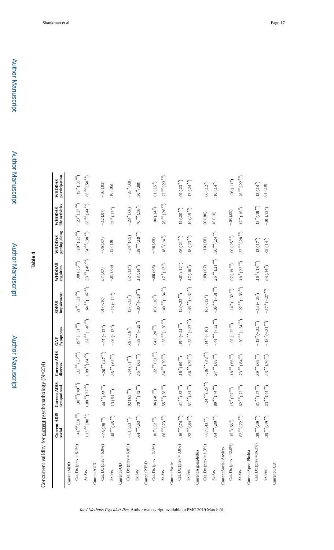| ⅎ |
|---|
| ω |
|   |
| ь |
|   |

Concurrent validity for current psychopathology (N=234) Concurrent validity for current psychopathology (N=234)

|                            | Current ADIS<br>social                   | Current ADIS<br>occupational         | Current ADIS<br>distress                           | Symptoms<br>GAF                            | Impairment<br><b>SOFAS</b>                 | WHODAS<br>cognition                      | getting along<br><b>WHODAS</b>       | WHODAS<br>life activities         | WHODAS<br>participation                    |
|----------------------------|------------------------------------------|--------------------------------------|----------------------------------------------------|--------------------------------------------|--------------------------------------------|------------------------------------------|--------------------------------------|-----------------------------------|--------------------------------------------|
| Current MDD                |                                          |                                      |                                                    |                                            |                                            |                                          |                                      |                                   |                                            |
| Cat. Dx (prev = $8.1\%$ )  | $-41$ <sup>**</sup> (.50 <sup>**</sup> ) | $-.38$ $**(.49)$                     | $-.31$ <sup>**</sup> (.57 <sup>**</sup> )          | $.19^{+}(-.31^{**})$                       | $21 * (-31 **$                             | $-08(.35**)$                             | $-20^{+}(23^{**})$                   | $-23*(27**$                       | $-.19^{+}(.33^{**})$                       |
| Sx Sev.                    | $1.13$ $\sp{**}6.80$ $\sp{**}$           | $1.08~^{**}\!\!\!({\bf .77}^{**}\!)$ | $1.09$ $\ ^{***}_{\quad} (.84$ $\ ^{**}_{\quad} )$ | $-.62$ <sup>**</sup> (-.46 <sup>**</sup> ) | $-\, .64\, ^{***} (-47\, ^{**})$           | $.53**(.46**)$                           | $.54$ $*$ $*$ $(.38$ $*$ $*)$        | $(44)^{***}$ (.44 <sup>**</sup> ) | $(5^{\ast}, 05^{\circ})$                   |
| Current AUD                |                                          |                                      |                                                    |                                            |                                            |                                          |                                      |                                   |                                            |
| Cat. Dx (prev = $6.0\%$ )  | $-.03\:(.38\,^{**})$                     | $(55)^{***}$                         | $-26$ <sup>**</sup> (.47 <sup>**</sup> )           | $-.07(-.12+)$                              | $.01\,(-.10)$                              | $(0.07)$ $\,$                            | $-.06(.07)$                          | $-.12(.07)$                       | $-.06(.03)$                                |
| Sx Sev.                    | $(48^{**} (45^{**})$                     | $.13\,(.51\, {}^{**}\!)$             | .85 $^{**}$ (.63 $^{**}$                           | $-.06(-.12+)$                              | $-.13(-.12+)$                              | $-0.000$                                 | $(01.)$ 51.                          | $.22^{+}(.12^{+})$                | $.10\,(.05)$                               |
| Current SUD                |                                          |                                      |                                                    |                                            |                                            |                                          |                                      |                                   |                                            |
| Cat. Dx (prev = $6.8\%$ )  | $-01$ $(.53$ $^{**} )$                   | $.02(.63**)$                         | $-14(.51**)$                                       | .08 $(-.16\,{}^{*}\!)$                     | $.13 (-.13)^*$                             | $.02\,(.13\,^+)$                         | $-.24^{+}(.09)$                      | $-28*(06)$                        | $-26*(.00)$                                |
| Sx Sev.                    | .64 $*$ (.63 $*$ )                       | $.70**$ $(.72**$                     | .75 ** $(.63$ **                                   | $-.38**(-.29*)$                            | $-.30 \cdot (-.20 \cdot$ **                | $.13( .14*)$                             | $.38^{***}(.18^{**})$                | $(40^{***} (16^{*})$              | $.30\,{}^{*}(.08)$                         |
| Current PTSD               |                                          |                                      |                                                    |                                            |                                            |                                          |                                      |                                   |                                            |
| Cat. Dx (prev = $2.1\%$ )  | $.10^{+}(.52^{**})$                      | $(40^{**})$ 90.                      | $-22$ <sup>**</sup> (.31 <sup>**</sup> )           | .04 $(-.20**$                              | $.10\,(-.16\,^{*})$                        | $-.06(.05)$                              | $-.06(.05)$                          | $-.04(.14*)$                      | .01 $(.15\,^\ast)$                         |
| Sx Sev.                    | $(56 \frac{***}{``} (73 \frac{***}{")})$ | $(55^{**} (58^{**})$                 | $\zeta_{**}(0'')$ , $\approx 87$                   | $-.35$ <sup>**</sup> (-.30 <sup>**</sup> ) | $-.40**(-.34**)$                           | $17\,{}^*(.13\,{}^*)$                    | $.18\,{}^{*\!\!*}(\mathbf{.14\,}^*)$ | $.28**0.26**$                     | $.22$ <sup>**</sup> $(.23$ <sup>**</sup> ) |
| Current Panic              |                                          |                                      |                                                    |                                            |                                            |                                          |                                      |                                   |                                            |
| Cat. Dx (prev = $3.8\%$ )  | $16^{***}$ (.74 <sup>**</sup> ).         | $41^{**}$ (.82 <sup>**</sup> )       | $16\,^{*\ast} (.69 \,^{**})$                       | $.19^{+}(-.24^{**})$                       | $.14 (-.22$ <sup>**</sup>                  | $-0.01(0.12)$                            | $.06(0.21***)$                       | $.12\,(.20\,^{**})$               | $.09(0.23**)$                              |
| Sx Sev.                    | .72 $**(.84**)$                          | .51 $^{***}$ (.84 $^{**}$ )          | .66 $*$ (.79 $*$ )                                 | $-.52$ <sup>**</sup> (-.37 <sup>**</sup> ) | $-.43$ ** $(-.32$ **                       | $.17\,(.16\,^{*})$                       | $.18\: ( .23 \, {}^{**}\!)$          | $(10 \, (19^{**})$                | $.17\,(.24\,^{**})$                        |
| Current Agoraphobia        |                                          |                                      |                                                    |                                            |                                            |                                          |                                      |                                   |                                            |
| Cat. Dx (prev = $1.3\%$ )  | $-.07(43**$                              | $-24***$ $(29***$                    | $-.16$ $*$ $(42)$ $*$                              | $.14^{+}(-.10)$                            | $.10\,(-.12^{+})$                          | $-0.09(0.07)$                            | $-.10(.08)$                          | .00(.06)                          | $.06\,(.12^+)$                             |
| Sx Sev.                    | $^{\ast\ast}60\,^{**}$ ( $80$            | $(x^{**}$ (.74 $(*)$                 | $(88^{*}, 88^{*})$                                 | $-41**(-32**)$                             | $-.36$ <sup>**</sup> (-.31 <sup>**</sup> ) | $.26$ <sup>**</sup> (.21 <sup>**</sup> ) | $.30***$ $(.24**)$                   | .10(.10)                          | $.10\,(.14\,^{*}\!)$                       |
| Current Social Anxiety     |                                          |                                      |                                                    |                                            |                                            |                                          |                                      |                                   |                                            |
| Cat. Dx (prev = $12.0\%$ ) | $.15*(.56*)$                             | $(15\,^\ast(57)^{\ast\ast})$         | $^{***}_{0.8}(\,.66^{***})$                        | $-.05(-.25**)$                             | $-.14+(-.32$ <sup>**</sup> )               | $07 \, (19^{**})$                        | $.00\: (.25 \, ^{**})$               | $-.03(.09)$                       | $-06(0.11^{+})$                            |
| Sx Sev.                    | $.62$ ** $(.72$ **                       | $.62$ ** $(.72$ **)                  | .73 ** $(.84**)$                                   | $-.30**(-.34**)$                           | $-.27$ ** $(-.36$ **                       | $.18*(.23**)$                            | $.37***(.28***)$                     | $.17^{+}(.16^{*})$                | $.26***$ $(.22***)$                        |
| Current Spec. Phobia       |                                          |                                      |                                                    |                                            |                                            |                                          |                                      |                                   |                                            |
| Cat. Dx (prev = $16.2\%$ ) | $.29***(.49***)$                         | .31 ** $(.47$ **                     | $.39***$ $(.69**$                                  | $-.19*(-.32*)$                             | $-.14 (-.26*)$                             | $.16^{+}(.18^{**})$                      | $.13\,(.17\,^*)$                     | $(19^{*}(18^{**})$                | $.13(.14*)$                                |
| Sx Sev.                    | $.29 **(.49 **)$                         | $.23***$ $(.44***)$                  | $(4.4, 0L)$ **                                     | $-.18 \times (-.31 \times 1)$              | $-.17^{+}(-.27**)$                         | .03 $(.14^{*})$                          | $.05\,(.14\,^{*})$                   | $-01\,(12^+)$                     | $.01\,(.10)$                               |
| Current OCD                |                                          |                                      |                                                    |                                            |                                            |                                          |                                      |                                   |                                            |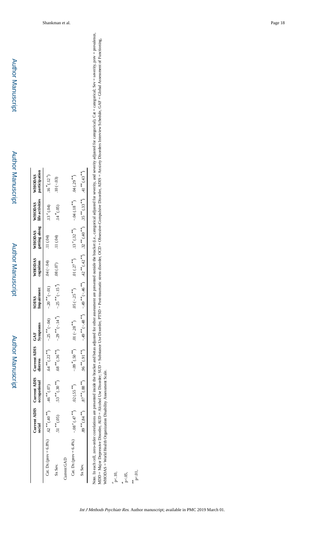Author Manuscript

Author Manuscript

|                                            | Current ADI<br>social           |                             | Current ADIS Current ADIS GAF<br>occupational distress Symptoms |                                                             | SOFAS<br>Impairment                                                                                                                         | WHODAS<br>cognition | WHODAS WHODAS WHODAS<br>getting along life activities participation |  |
|--------------------------------------------|---------------------------------|-----------------------------|-----------------------------------------------------------------|-------------------------------------------------------------|---------------------------------------------------------------------------------------------------------------------------------------------|---------------------|---------------------------------------------------------------------|--|
| Cat. Dx (prev = 6.8%) $.62^{**}(.40^{**})$ |                                 | $.46$ <sup>**</sup> $(.07)$ |                                                                 |                                                             | (4) $-25**$ (-04) $-25**$ (-04) $-20*$ (-04) $-30$                                                                                          |                     | $.13^{+}(04)$ $.16^{*}(0.12^{+})$                                   |  |
| Sx Sev.                                    | $.51$ <sup>**</sup> (.05)       |                             |                                                                 |                                                             | $53***(30***)$ $68***(36***)$ $-29***(-14")$ $-25***(-15")$ $08(.07)$ $11(.04)$                                                             |                     | $.14*(.05)$ $.10(-.03)$                                             |  |
| Current GAD                                |                                 |                             |                                                                 |                                                             |                                                                                                                                             |                     |                                                                     |  |
| Cat. Dx (prev = $6.4\%$ )                  | $-.08^{+}$ (.47 <sup>**</sup> ) | $.02(.55^{**})$             |                                                                 | $-0.09$ * (.50 <sup>**</sup> ) 10. 01 (-.28 <sup>**</sup> ) | .05 (-.25 <sup>**</sup> ) .01 (.27 <sup>**</sup> ) .13 <sup>+</sup> (.32 <sup>**</sup> ) -.04 (.18 <sup>**</sup> ) .04 (.29 <sup>**</sup> ) |                     |                                                                     |  |
| Sx Sev.                                    | $(89^{**}(.84^{**})$            |                             |                                                                 |                                                             | $87**(88**)$ $96***(91**)$ $-49**$ $-48**$ $-49**$ $40**$ $40**$ $42**$ $32**$ $40**$ $35***$ $31**$ $41**$ $43**$                          |                     |                                                                     |  |

Note. In each cell, zero-order correlations are presented inside the bracket and betas adjusted for other assessment are presented outside the bracket (i.e., categorical adjusted for severity, and severity adjusted for ca Note. In each cell, zero-order correlations are presented inside the bracket and betas adjusted for other assessment are presented outside the bracket (i.e., categorical adjusted for severity, and severity and incegorical MDD = Major Depressive Disorder, SUD = Substance Use Disorder, PTSD = Post-traumatic stress disorder, OCD = Obsessive-Compulsive Disorder, ADIS = Anxiety Disorders Interview Schedule, GAF = Global Assessment of Functioning WHODAS = World Health Organization Disability Assessment Scale. WHODAS = World Health Organization Disability Assessment Scale.

 $+$  p<.10,

\*<br>p<.05,  $_{\rm p<.01,}^{\ast\ast}$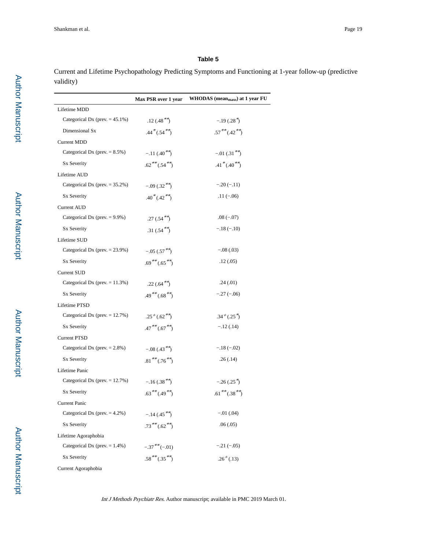Current and Lifetime Psychopathology Predicting Symptoms and Functioning at 1-year follow-up (predictive validity)

|                                    | Max PSR over 1 year | WHODAS (mean <sub>maxs</sub> ) at 1 year FU |
|------------------------------------|---------------------|---------------------------------------------|
| Lifetime MDD                       |                     |                                             |
| Categorical Dx (prev. $= 45.1\%$ ) | $.12(.48**)$        | $-.19(.28*)$                                |
| Dimensional Sx                     | $.44*(.54**)$       | $.57***(.42**)$                             |
| <b>Current MDD</b>                 |                     |                                             |
| Categorical Dx (prev. $= 8.5\%$ )  | $-.11(.40**)$       | $-.01(.31**)$                               |
| Sx Severity                        | $.62***(.54**)$     | $.41*(.40*)$                                |
| Lifetime AUD                       |                     |                                             |
| Categorical Dx (prev. $= 35.2\%$ ) | $-.09(.32**)$       | $-.20(-.11)$                                |
| Sx Severity                        | $.40*(.42**)$       | $.11(-.06)$                                 |
| <b>Current AUD</b>                 |                     |                                             |
| Categorical Dx (prev. $= 9.9\%$ )  | $.27(.54**)$        | $.08(-.07)$                                 |
| Sx Severity                        | $.31(.54**)$        | $-.18(-.10)$                                |
| Lifetime SUD                       |                     |                                             |
| Categorical Dx (prev. $= 23.9\%$ ) | $-.05(.57**)$       | $-.08(.03)$                                 |
| Sx Severity                        | $.69***(.65**)$     | .12(0.05)                                   |
| <b>Current SUD</b>                 |                     |                                             |
| Categorical Dx (prev. $= 11.3\%$ ) | .22 $(.64^{**})$    | .24(.01)                                    |
| Sx Severity                        | $.49***(.68**)$     | $-.27(-.06)$                                |
| Lifetime PTSD                      |                     |                                             |
| Categorical Dx (prev. $= 12.7\%$ ) | $.25^{+}(.62^{**})$ | $.34^{+}(.25^{*})$                          |
| Sx Severity                        | $.47***(.67**)$     | $-.12(.14)$                                 |
| <b>Current PTSD</b>                |                     |                                             |
| Categorical Dx (prev. $= 2.8\%$ )  | $-.08(.43**)$       | $-.18(-.02)$                                |
| Sx Severity                        | $.81***(0.76**)$    | .26(.14)                                    |
| Lifetime Panic                     |                     |                                             |
| Categorical Dx (prev. $= 12.7\%$ ) | $-.16(.38**)$       | $-.26(.25^{*})$                             |
| Sx Severity                        | $.63***(.49**)$     | $.61***(0.38**)$                            |
| <b>Current Panic</b>               |                     |                                             |
| Categorical Dx (prev. $= 4.2\%$ )  | $-.14(.45**)$       | $-.01(.04)$                                 |
| Sx Severity                        | $.73***(.62**)$     | .06(.05)                                    |
| Lifetime Agoraphobia               |                     |                                             |
| Categorical Dx (prev. $= 1.4\%$ )  | $-.37$ ** $(-.01)$  | $-.21(-.05)$                                |
| Sx Severity                        | $.58***(.35**)$     | $.26^{+}(.13)$                              |
| Current Agoraphobia                |                     |                                             |